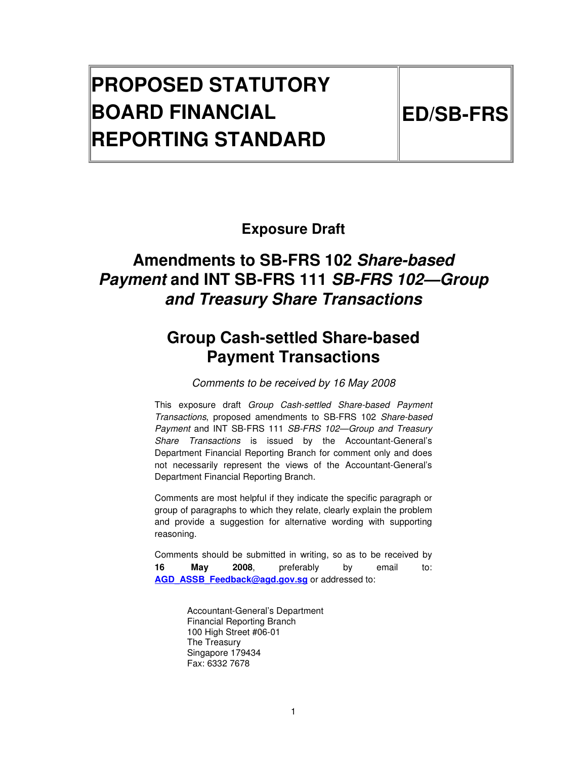# **PROPOSED STATUTORY BOARD FINANCIAL REPORTING STANDARD**

# **Exposure Draft**

# **Amendments to SB-FRS 102 Share-based Payment and INT SB-FRS 111 SB-FRS 102—Group and Treasury Share Transactions**

# **Group Cash-settled Share-based Payment Transactions**

Comments to be received by 16 May 2008

This exposure draft Group Cash-settled Share-based Payment Transactions, proposed amendments to SB-FRS 102 Share-based Payment and INT SB-FRS 111 SB-FRS 102—Group and Treasury Share Transactions is issued by the Accountant-General's Department Financial Reporting Branch for comment only and does not necessarily represent the views of the Accountant-General's Department Financial Reporting Branch.

Comments are most helpful if they indicate the specific paragraph or group of paragraphs to which they relate, clearly explain the problem and provide a suggestion for alternative wording with supporting reasoning.

Comments should be submitted in writing, so as to be received by **16 May 2008**, preferably by email to: AGD\_ASSB\_Feedback@agd.gov.sg or addressed to:

> Accountant-General's Department Financial Reporting Branch 100 High Street #06-01 The Treasury Singapore 179434 Fax: 6332 7678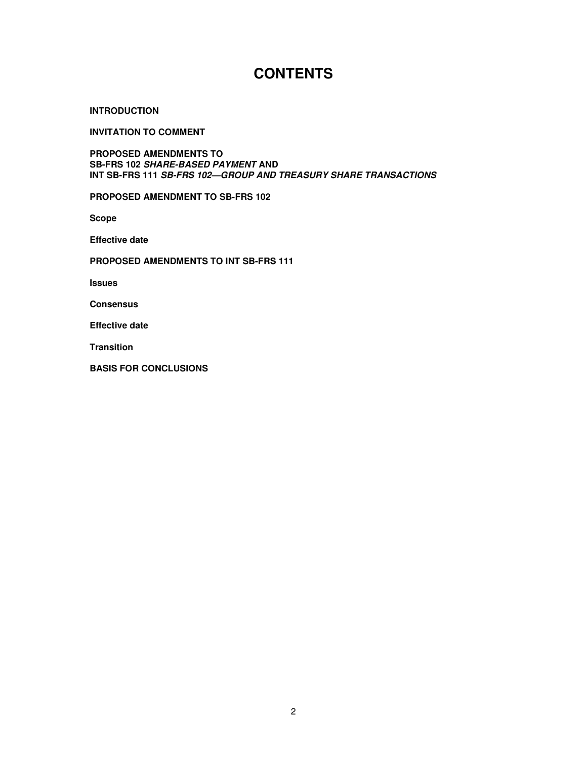# **CONTENTS**

#### **INTRODUCTION**

**INVITATION TO COMMENT** 

**PROPOSED AMENDMENTS TO SB-FRS 102 SHARE-BASED PAYMENT AND INT SB-FRS 111 SB-FRS 102—GROUP AND TREASURY SHARE TRANSACTIONS** 

**PROPOSED AMENDMENT TO SB-FRS 102** 

**Scope** 

**Effective date** 

#### **PROPOSED AMENDMENTS TO INT SB-FRS 111**

**Issues** 

**Consensus** 

**Effective date** 

**Transition** 

**BASIS FOR CONCLUSIONS**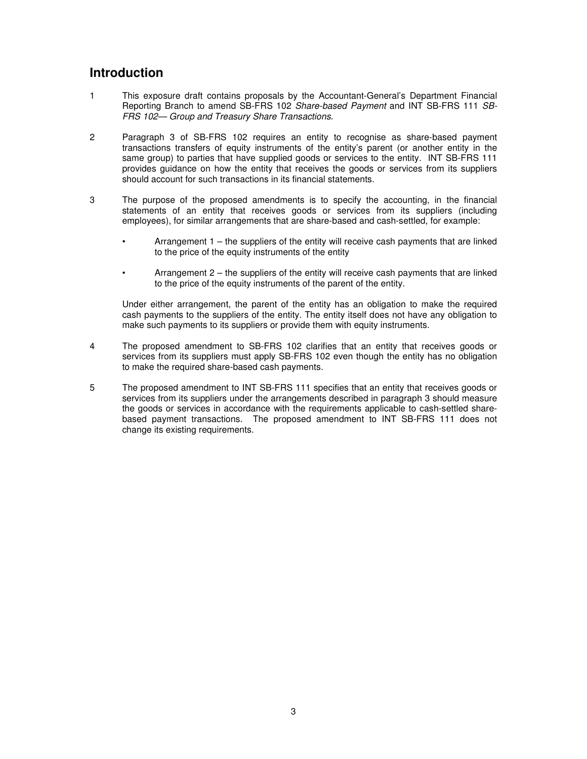### **Introduction**

- 1 This exposure draft contains proposals by the Accountant-General's Department Financial Reporting Branch to amend SB-FRS 102 Share-based Payment and INT SB-FRS 111 SB-FRS 102— Group and Treasury Share Transactions.
- 2 Paragraph 3 of SB-FRS 102 requires an entity to recognise as share-based payment transactions transfers of equity instruments of the entity's parent (or another entity in the same group) to parties that have supplied goods or services to the entity. INT SB-FRS 111 provides guidance on how the entity that receives the goods or services from its suppliers should account for such transactions in its financial statements.
- 3 The purpose of the proposed amendments is to specify the accounting, in the financial statements of an entity that receives goods or services from its suppliers (including employees), for similar arrangements that are share-based and cash-settled, for example:
	- Arrangement 1 the suppliers of the entity will receive cash payments that are linked to the price of the equity instruments of the entity
	- Arrangement 2 the suppliers of the entity will receive cash payments that are linked to the price of the equity instruments of the parent of the entity.

Under either arrangement, the parent of the entity has an obligation to make the required cash payments to the suppliers of the entity. The entity itself does not have any obligation to make such payments to its suppliers or provide them with equity instruments.

- 4 The proposed amendment to SB-FRS 102 clarifies that an entity that receives goods or services from its suppliers must apply SB-FRS 102 even though the entity has no obligation to make the required share-based cash payments.
- 5 The proposed amendment to INT SB-FRS 111 specifies that an entity that receives goods or services from its suppliers under the arrangements described in paragraph 3 should measure the goods or services in accordance with the requirements applicable to cash-settled sharebased payment transactions. The proposed amendment to INT SB-FRS 111 does not change its existing requirements.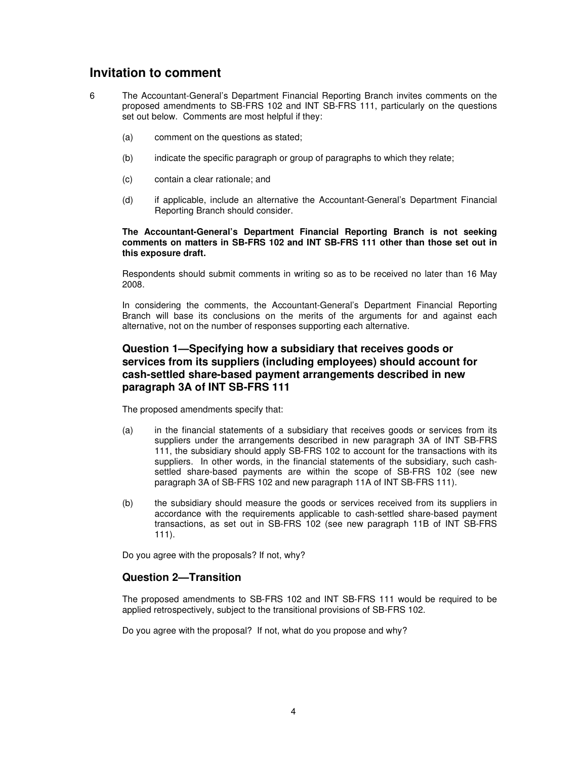### **Invitation to comment**

- 6 The Accountant-General's Department Financial Reporting Branch invites comments on the proposed amendments to SB-FRS 102 and INT SB-FRS 111, particularly on the questions set out below. Comments are most helpful if they:
	- (a) comment on the questions as stated;
	- (b) indicate the specific paragraph or group of paragraphs to which they relate;
	- (c) contain a clear rationale; and
	- (d) if applicable, include an alternative the Accountant-General's Department Financial Reporting Branch should consider.

#### **The Accountant-General's Department Financial Reporting Branch is not seeking comments on matters in SB-FRS 102 and INT SB-FRS 111 other than those set out in this exposure draft.**

Respondents should submit comments in writing so as to be received no later than 16 May 2008.

In considering the comments, the Accountant-General's Department Financial Reporting Branch will base its conclusions on the merits of the arguments for and against each alternative, not on the number of responses supporting each alternative.

#### **Question 1—Specifying how a subsidiary that receives goods or services from its suppliers (including employees) should account for cash-settled share-based payment arrangements described in new paragraph 3A of INT SB-FRS 111**

The proposed amendments specify that:

- (a) in the financial statements of a subsidiary that receives goods or services from its suppliers under the arrangements described in new paragraph 3A of INT SB-FRS 111, the subsidiary should apply SB-FRS 102 to account for the transactions with its suppliers. In other words, in the financial statements of the subsidiary, such cashsettled share-based payments are within the scope of SB-FRS 102 (see new paragraph 3A of SB-FRS 102 and new paragraph 11A of INT SB-FRS 111).
- (b) the subsidiary should measure the goods or services received from its suppliers in accordance with the requirements applicable to cash-settled share-based payment transactions, as set out in SB-FRS 102 (see new paragraph 11B of INT SB-FRS 111).

Do you agree with the proposals? If not, why?

#### **Question 2—Transition**

The proposed amendments to SB-FRS 102 and INT SB-FRS 111 would be required to be applied retrospectively, subject to the transitional provisions of SB-FRS 102.

Do you agree with the proposal? If not, what do you propose and why?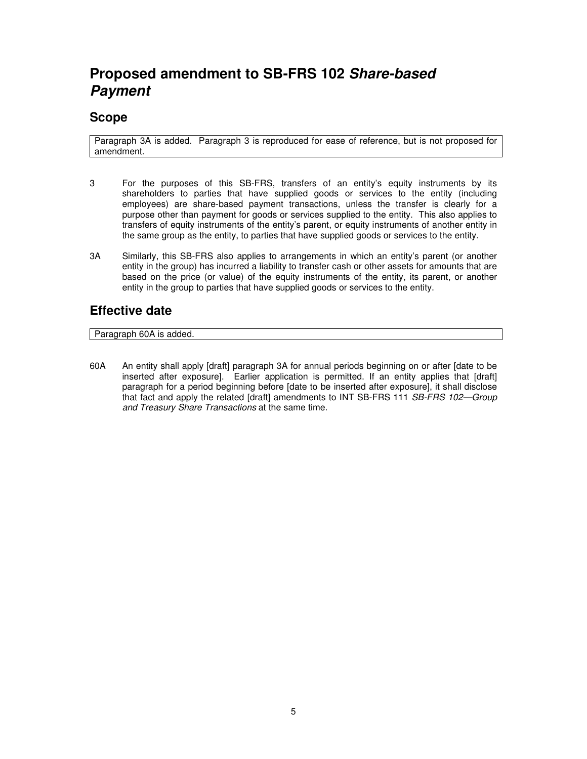# **Proposed amendment to SB-FRS 102 Share-based Payment**

### **Scope**

Paragraph 3A is added. Paragraph 3 is reproduced for ease of reference, but is not proposed for amendment.

- 3 For the purposes of this SB-FRS, transfers of an entity's equity instruments by its shareholders to parties that have supplied goods or services to the entity (including employees) are share-based payment transactions, unless the transfer is clearly for a purpose other than payment for goods or services supplied to the entity. This also applies to transfers of equity instruments of the entity's parent, or equity instruments of another entity in the same group as the entity, to parties that have supplied goods or services to the entity.
- 3A Similarly, this SB-FRS also applies to arrangements in which an entity's parent (or another entity in the group) has incurred a liability to transfer cash or other assets for amounts that are based on the price (or value) of the equity instruments of the entity, its parent, or another entity in the group to parties that have supplied goods or services to the entity.

### **Effective date**

Paragraph 60A is added.

60A An entity shall apply [draft] paragraph 3A for annual periods beginning on or after [date to be inserted after exposure]. Earlier application is permitted. If an entity applies that [draft] paragraph for a period beginning before [date to be inserted after exposure], it shall disclose that fact and apply the related [draft] amendments to INT SB-FRS 111 SB-FRS 102–Group and Treasury Share Transactions at the same time.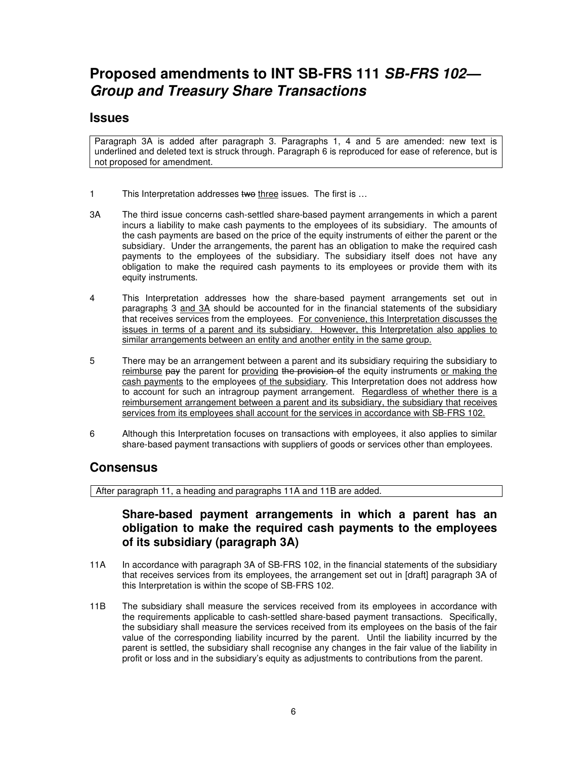# **Proposed amendments to INT SB-FRS 111 SB-FRS 102— Group and Treasury Share Transactions**

#### **Issues**

Paragraph 3A is added after paragraph 3. Paragraphs 1, 4 and 5 are amended: new text is underlined and deleted text is struck through. Paragraph 6 is reproduced for ease of reference, but is not proposed for amendment.

- 1 This Interpretation addresses two three issues. The first is ...
- 3A The third issue concerns cash-settled share-based payment arrangements in which a parent incurs a liability to make cash payments to the employees of its subsidiary. The amounts of the cash payments are based on the price of the equity instruments of either the parent or the subsidiary. Under the arrangements, the parent has an obligation to make the required cash payments to the employees of the subsidiary. The subsidiary itself does not have any obligation to make the required cash payments to its employees or provide them with its equity instruments.
- 4 This Interpretation addresses how the share-based payment arrangements set out in paragraphs 3 and 3A should be accounted for in the financial statements of the subsidiary that receives services from the employees. For convenience, this Interpretation discusses the issues in terms of a parent and its subsidiary. However, this Interpretation also applies to similar arrangements between an entity and another entity in the same group.
- 5 There may be an arrangement between a parent and its subsidiary requiring the subsidiary to reimburse pay the parent for providing the provision of the equity instruments or making the cash payments to the employees of the subsidiary. This Interpretation does not address how to account for such an intragroup payment arrangement. Regardless of whether there is a reimbursement arrangement between a parent and its subsidiary, the subsidiary that receives services from its employees shall account for the services in accordance with SB-FRS 102.
- 6 Although this Interpretation focuses on transactions with employees, it also applies to similar share-based payment transactions with suppliers of goods or services other than employees.

#### **Consensus**

After paragraph 11, a heading and paragraphs 11A and 11B are added.

### **Share-based payment arrangements in which a parent has an obligation to make the required cash payments to the employees of its subsidiary (paragraph 3A)**

- 11A In accordance with paragraph 3A of SB-FRS 102, in the financial statements of the subsidiary that receives services from its employees, the arrangement set out in [draft] paragraph 3A of this Interpretation is within the scope of SB-FRS 102.
- 11B The subsidiary shall measure the services received from its employees in accordance with the requirements applicable to cash-settled share-based payment transactions. Specifically, the subsidiary shall measure the services received from its employees on the basis of the fair value of the corresponding liability incurred by the parent. Until the liability incurred by the parent is settled, the subsidiary shall recognise any changes in the fair value of the liability in profit or loss and in the subsidiary's equity as adjustments to contributions from the parent.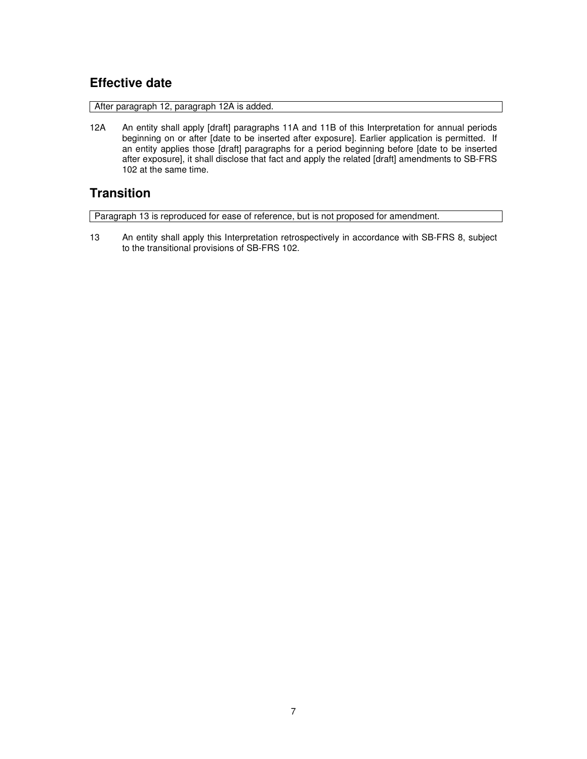# **Effective date**

After paragraph 12, paragraph 12A is added.

12A An entity shall apply [draft] paragraphs 11A and 11B of this Interpretation for annual periods beginning on or after [date to be inserted after exposure]. Earlier application is permitted. If an entity applies those [draft] paragraphs for a period beginning before [date to be inserted after exposure], it shall disclose that fact and apply the related [draft] amendments to SB-FRS 102 at the same time.

# **Transition**

Paragraph 13 is reproduced for ease of reference, but is not proposed for amendment.

13 An entity shall apply this Interpretation retrospectively in accordance with SB-FRS 8, subject to the transitional provisions of SB-FRS 102.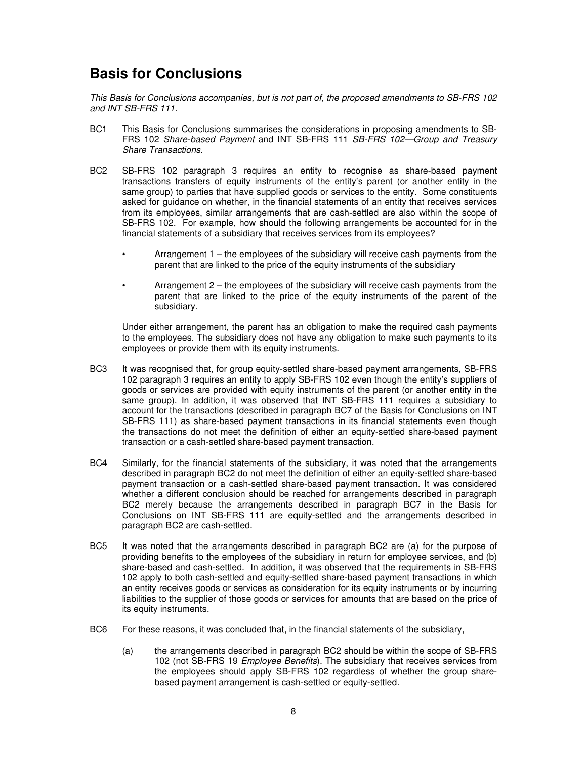# **Basis for Conclusions**

This Basis for Conclusions accompanies, but is not part of, the proposed amendments to SB-FRS 102 and INT SB-FRS 111.

- BC1 This Basis for Conclusions summarises the considerations in proposing amendments to SB-FRS 102 Share-based Payment and INT SB-FRS 111 SB-FRS 102—Group and Treasury Share Transactions.
- BC2 SB-FRS 102 paragraph 3 requires an entity to recognise as share-based payment transactions transfers of equity instruments of the entity's parent (or another entity in the same group) to parties that have supplied goods or services to the entity. Some constituents asked for guidance on whether, in the financial statements of an entity that receives services from its employees, similar arrangements that are cash-settled are also within the scope of SB-FRS 102. For example, how should the following arrangements be accounted for in the financial statements of a subsidiary that receives services from its employees?
	- Arrangement 1 the employees of the subsidiary will receive cash payments from the parent that are linked to the price of the equity instruments of the subsidiary
		- Arrangement 2 the employees of the subsidiary will receive cash payments from the parent that are linked to the price of the equity instruments of the parent of the subsidiary.

Under either arrangement, the parent has an obligation to make the required cash payments to the employees. The subsidiary does not have any obligation to make such payments to its employees or provide them with its equity instruments.

- BC3 It was recognised that, for group equity-settled share-based payment arrangements, SB-FRS 102 paragraph 3 requires an entity to apply SB-FRS 102 even though the entity's suppliers of goods or services are provided with equity instruments of the parent (or another entity in the same group). In addition, it was observed that INT SB-FRS 111 requires a subsidiary to account for the transactions (described in paragraph BC7 of the Basis for Conclusions on INT SB-FRS 111) as share-based payment transactions in its financial statements even though the transactions do not meet the definition of either an equity-settled share-based payment transaction or a cash-settled share-based payment transaction.
- BC4 Similarly, for the financial statements of the subsidiary, it was noted that the arrangements described in paragraph BC2 do not meet the definition of either an equity-settled share-based payment transaction or a cash-settled share-based payment transaction. It was considered whether a different conclusion should be reached for arrangements described in paragraph BC2 merely because the arrangements described in paragraph BC7 in the Basis for Conclusions on INT SB-FRS 111 are equity-settled and the arrangements described in paragraph BC2 are cash-settled.
- BC5 It was noted that the arrangements described in paragraph BC2 are (a) for the purpose of providing benefits to the employees of the subsidiary in return for employee services, and (b) share-based and cash-settled. In addition, it was observed that the requirements in SB-FRS 102 apply to both cash-settled and equity-settled share-based payment transactions in which an entity receives goods or services as consideration for its equity instruments or by incurring liabilities to the supplier of those goods or services for amounts that are based on the price of its equity instruments.
- BC6 For these reasons, it was concluded that, in the financial statements of the subsidiary,
	- (a) the arrangements described in paragraph BC2 should be within the scope of SB-FRS 102 (not SB-FRS 19 *Employee Benefits*). The subsidiary that receives services from the employees should apply SB-FRS 102 regardless of whether the group sharebased payment arrangement is cash-settled or equity-settled.